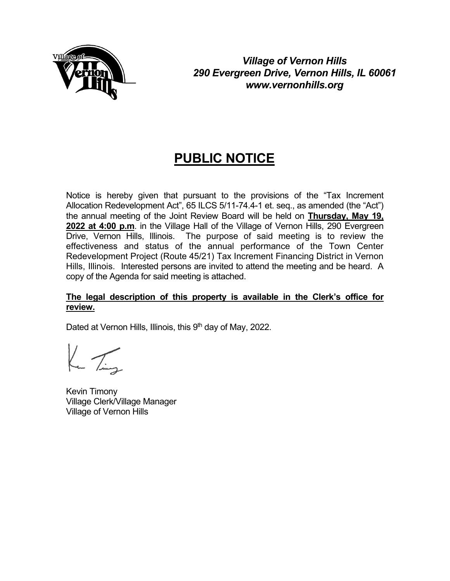

*Village of Vernon Hills 290 Evergreen Drive, Vernon Hills, IL 60061 www.vernonhills.org*

# **PUBLIC NOTICE**

Notice is hereby given that pursuant to the provisions of the "Tax Increment Allocation Redevelopment Act", 65 ILCS 5/11-74.4-1 et. seq., as amended (the "Act") the annual meeting of the Joint Review Board will be held on **Thursday, May 19, 2022 at 4:00 p.m**. in the Village Hall of the Village of Vernon Hills, 290 Evergreen Drive, Vernon Hills, Illinois. The purpose of said meeting is to review the effectiveness and status of the annual performance of the Town Center Redevelopment Project (Route 45/21) Tax Increment Financing District in Vernon Hills, Illinois. Interested persons are invited to attend the meeting and be heard. A copy of the Agenda for said meeting is attached.

#### **The legal description of this property is available in the Clerk's office for review.**

Dated at Vernon Hills, Illinois, this  $9<sup>th</sup>$  day of May, 2022.

 $K_{\rm m}$  Ting

Kevin Timony Village Clerk/Village Manager Village of Vernon Hills